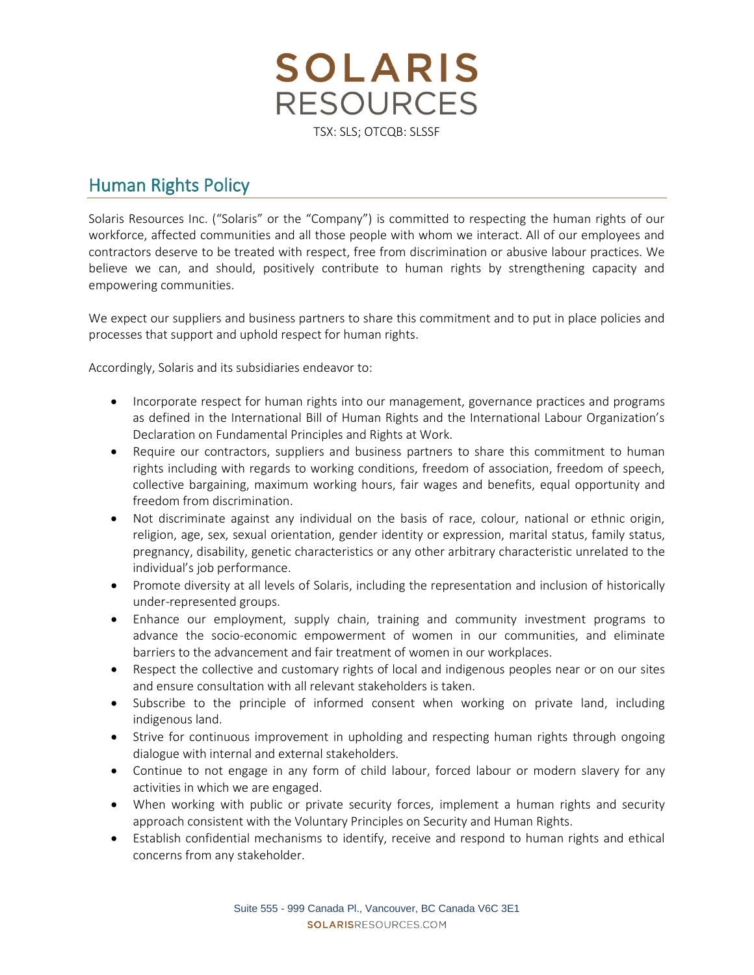**SOLARIS RESOURCES** TSX: SLS; OTCQB: SLSSF

## Human Rights Policy

Solaris Resources Inc. ("Solaris" or the "Company") is committed to respecting the human rights of our workforce, affected communities and all those people with whom we interact. All of our employees and contractors deserve to be treated with respect, free from discrimination or abusive labour practices. We believe we can, and should, positively contribute to human rights by strengthening capacity and empowering communities.

We expect our suppliers and business partners to share this commitment and to put in place policies and processes that support and uphold respect for human rights.

Accordingly, Solaris and its subsidiaries endeavor to:

- Incorporate respect for human rights into our management, governance practices and programs as defined in the International Bill of Human Rights and the International Labour Organization's Declaration on Fundamental Principles and Rights at Work.
- Require our contractors, suppliers and business partners to share this commitment to human rights including with regards to working conditions, freedom of association, freedom of speech, collective bargaining, maximum working hours, fair wages and benefits, equal opportunity and freedom from discrimination.
- Not discriminate against any individual on the basis of race, colour, national or ethnic origin, religion, age, sex, sexual orientation, gender identity or expression, marital status, family status, pregnancy, disability, genetic characteristics or any other arbitrary characteristic unrelated to the individual's job performance.
- Promote diversity at all levels of Solaris, including the representation and inclusion of historically under-represented groups.
- Enhance our employment, supply chain, training and community investment programs to advance the socio-economic empowerment of women in our communities, and eliminate barriers to the advancement and fair treatment of women in our workplaces.
- Respect the collective and customary rights of local and indigenous peoples near or on our sites and ensure consultation with all relevant stakeholders is taken.
- Subscribe to the principle of informed consent when working on private land, including indigenous land.
- Strive for continuous improvement in upholding and respecting human rights through ongoing dialogue with internal and external stakeholders.
- Continue to not engage in any form of child labour, forced labour or modern slavery for any activities in which we are engaged.
- When working with public or private security forces, implement a human rights and security approach consistent with the Voluntary Principles on Security and Human Rights.
- Establish confidential mechanisms to identify, receive and respond to human rights and ethical concerns from any stakeholder.